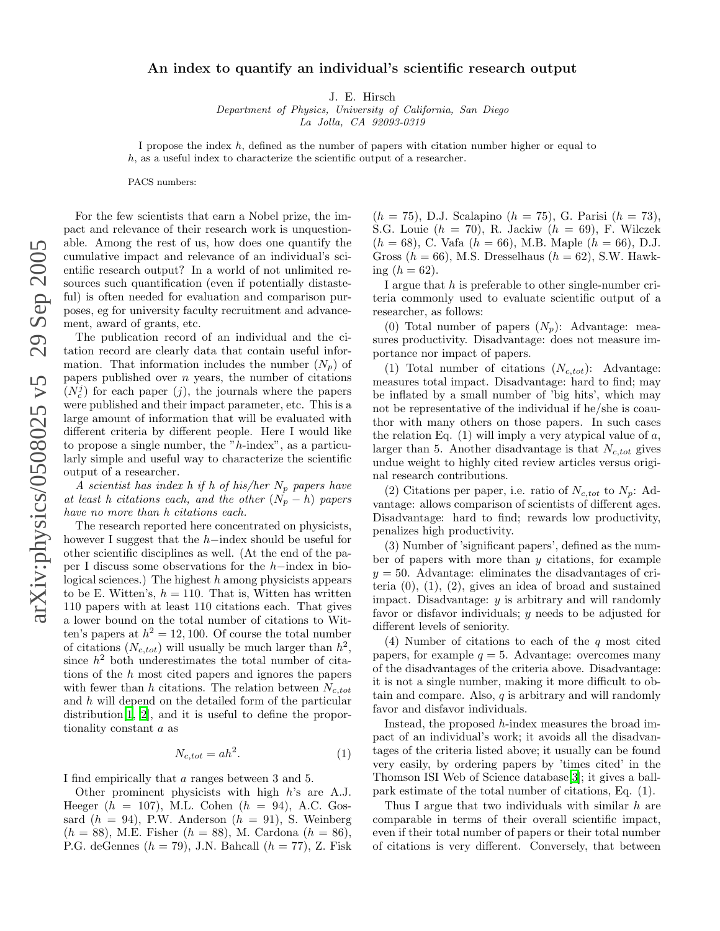## An index to quantify an individual's scientific research output

J. E. Hirsch

Department of Physics, University of California, San Diego La Jolla, CA 92093-0319

I propose the index h, defined as the number of papers with citation number higher or equal to h, as a useful index to characterize the scientific output of a researcher.

PACS numbers:

For the few scientists that earn a Nobel prize, the impact and relevance of their research work is unquestionable. Among the rest of us, how does one quantify the cumulative impact and relevance of an individual's scientific research output? In a world of not unlimited resources such quantification (even if potentially distasteful) is often needed for evaluation and comparison purposes, eg for university faculty recruitment and advancement, award of grants, etc.

The publication record of an individual and the citation record are clearly data that contain useful information. That information includes the number  $(N_p)$  of papers published over n years, the number of citations  $(N_c^j)$  for each paper  $(j)$ , the journals where the papers were published and their impact parameter, etc. This is a large amount of information that will be evaluated with different criteria by different people. Here I would like to propose a single number, the " h-index", as a particularly simple and useful way to characterize the scientific output of a researcher.

A scientist has index h if h of his/her  $N_p$  papers have at least h citations each, and the other  $(N_p - h)$  papers have no more than h citations each.

The research reported here concentrated on physicists, however I suggest that the  $h$ -index should be useful for other scientific disciplines as well. (At the end of the paper I discuss some observations for the h−index in biological sciences.) The highest  $h$  among physicists appears to be E. Witten's,  $h = 110$ . That is, Witten has written 110 papers with at least 110 citations each. That gives a lower bound on the total number of citations to Witten's papers at  $h^2 = 12, 100$ . Of course the total number of citations  $(N_{c,tot})$  will usually be much larger than  $h^2$ , since  $h^2$  both underestimates the total number of citations of the h most cited papers and ignores the papers with fewer than h citations. The relation between  $N_{c,tot}$ and h will depend on the detailed form of the particular distribution[\[1,](#page-4-0) [2\]](#page-4-1), and it is useful to define the proportionality constant a as

$$
N_{c,tot} = ah^2.
$$
 (1)

I find empirically that a ranges between 3 and 5.

Other prominent physicists with high h's are A.J. Heeger  $(h = 107)$ , M.L. Cohen  $(h = 94)$ , A.C. Gossard  $(h = 94)$ , P.W. Anderson  $(h = 91)$ , S. Weinberg  $(h = 88)$ , M.E. Fisher  $(h = 88)$ , M. Cardona  $(h = 86)$ , P.G. deGennes  $(h = 79)$ , J.N. Bahcall  $(h = 77)$ , Z. Fisk

 $(h = 75)$ , D.J. Scalapino  $(h = 75)$ , G. Parisi  $(h = 73)$ , S.G. Louie  $(h = 70)$ , R. Jackiw  $(h = 69)$ , F. Wilczek  $(h = 68)$ , C. Vafa  $(h = 66)$ , M.B. Maple  $(h = 66)$ , D.J. Gross  $(h = 66)$ , M.S. Dresselhaus  $(h = 62)$ , S.W. Hawking  $(h = 62)$ .

I argue that h is preferable to other single-number criteria commonly used to evaluate scientific output of a researcher, as follows:

(0) Total number of papers  $(N_p)$ : Advantage: measures productivity. Disadvantage: does not measure importance nor impact of papers.

(1) Total number of citations  $(N_{c,tot})$ : Advantage: measures total impact. Disadvantage: hard to find; may be inflated by a small number of 'big hits', which may not be representative of the individual if he/she is coauthor with many others on those papers. In such cases the relation Eq.  $(1)$  will imply a very atypical value of a, larger than 5. Another disadvantage is that  $N_{c,tot}$  gives undue weight to highly cited review articles versus original research contributions.

(2) Citations per paper, i.e. ratio of  $N_{c,tot}$  to  $N_p$ : Advantage: allows comparison of scientists of different ages. Disadvantage: hard to find; rewards low productivity, penalizes high productivity.

(3) Number of 'significant papers', defined as the number of papers with more than  $y$  citations, for example  $y = 50$ . Advantage: eliminates the disadvantages of criteria  $(0)$ ,  $(1)$ ,  $(2)$ , gives an idea of broad and sustained impact. Disadvantage: y is arbitrary and will randomly favor or disfavor individuals; y needs to be adjusted for different levels of seniority.

(4) Number of citations to each of the q most cited papers, for example  $q = 5$ . Advantage: overcomes many of the disadvantages of the criteria above. Disadvantage: it is not a single number, making it more difficult to obtain and compare. Also,  $q$  is arbitrary and will randomly favor and disfavor individuals.

Instead, the proposed h-index measures the broad impact of an individual's work; it avoids all the disadvantages of the criteria listed above; it usually can be found very easily, by ordering papers by 'times cited' in the Thomson ISI Web of Science database[\[3\]](#page-4-2); it gives a ballpark estimate of the total number of citations, Eq. (1).

Thus I argue that two individuals with similar h are comparable in terms of their overall scientific impact, even if their total number of papers or their total number of citations is very different. Conversely, that between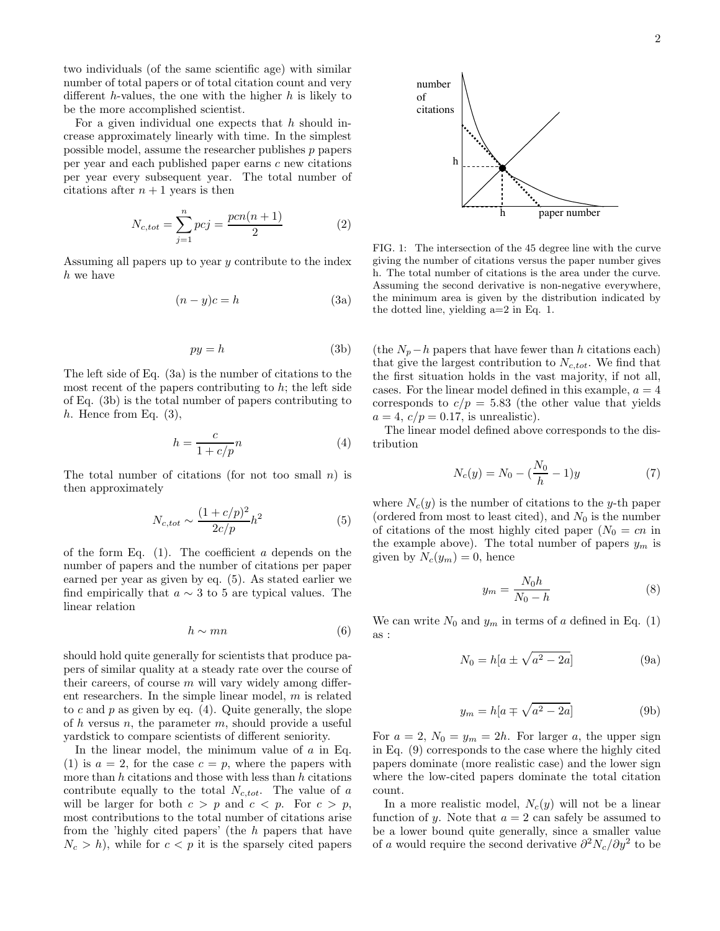two individuals (of the same scientific age) with similar number of total papers or of total citation count and very different h-values, the one with the higher  $h$  is likely to be the more accomplished scientist.

For a given individual one expects that  $h$  should increase approximately linearly with time. In the simplest possible model, assume the researcher publishes  $p$  papers per year and each published paper earns c new citations per year every subsequent year. The total number of citations after  $n + 1$  years is then

$$
N_{c,tot} = \sum_{j=1}^{n} pcj = \frac{pcn(n+1)}{2}
$$
 (2)

Assuming all papers up to year y contribute to the index h we have

$$
(n - y)c = h \tag{3a}
$$

$$
py = h \tag{3b}
$$

The left side of Eq. (3a) is the number of citations to the most recent of the papers contributing to  $h$ ; the left side of Eq. (3b) is the total number of papers contributing to  $h.$  Hence from Eq.  $(3),$ 

$$
h = \frac{c}{1 + c/p}n\tag{4}
$$

The total number of citations (for not too small  $n$ ) is then approximately

$$
N_{c,tot} \sim \frac{(1+c/p)^2}{2c/p}h^2\tag{5}
$$

of the form Eq.  $(1)$ . The coefficient a depends on the number of papers and the number of citations per paper earned per year as given by eq. (5). As stated earlier we find empirically that  $a \sim 3$  to 5 are typical values. The linear relation

$$
h \sim mn \tag{6}
$$

should hold quite generally for scientists that produce papers of similar quality at a steady rate over the course of their careers, of course  $m$  will vary widely among different researchers. In the simple linear model, m is related to c and p as given by eq.  $(4)$ . Quite generally, the slope of h versus n, the parameter m, should provide a useful yardstick to compare scientists of different seniority.

In the linear model, the minimum value of  $a$  in Eq. (1) is  $a = 2$ , for the case  $c = p$ , where the papers with more than  $h$  citations and those with less than  $h$  citations contribute equally to the total  $N_{c,tot}$ . The value of a will be larger for both  $c > p$  and  $c < p$ . For  $c > p$ , most contributions to the total number of citations arise from the 'highly cited papers' (the h papers that have  $N_c > h$ , while for  $c < p$  it is the sparsely cited papers



FIG. 1: The intersection of the 45 degree line with the curve giving the number of citations versus the paper number gives h. The total number of citations is the area under the curve. Assuming the second derivative is non-negative everywhere, the minimum area is given by the distribution indicated by the dotted line, yielding a=2 in Eq. 1.

(the  $N_p-h$  papers that have fewer than h citations each) that give the largest contribution to  $N_{c,tot}$ . We find that the first situation holds in the vast majority, if not all, cases. For the linear model defined in this example,  $a = 4$ corresponds to  $c/p = 5.83$  (the other value that yields  $a = 4, c/p = 0.17$ , is unrealistic).

The linear model defined above corresponds to the distribution

$$
N_c(y) = N_0 - \left(\frac{N_0}{h} - 1\right)y\tag{7}
$$

where  $N_c(y)$  is the number of citations to the y-th paper (ordered from most to least cited), and  $N_0$  is the number of citations of the most highly cited paper  $(N_0 = cn)$  in the example above). The total number of papers  $y_m$  is given by  $N_c(y_m) = 0$ , hence

$$
y_m = \frac{N_0 h}{N_0 - h} \tag{8}
$$

We can write  $N_0$  and  $y_m$  in terms of a defined in Eq. (1) as :

$$
N_0 = h[a \pm \sqrt{a^2 - 2a}] \tag{9a}
$$

$$
y_m = h[a \mp \sqrt{a^2 - 2a}] \tag{9b}
$$

For  $a = 2$ ,  $N_0 = y_m = 2h$ . For larger a, the upper sign in Eq. (9) corresponds to the case where the highly cited papers dominate (more realistic case) and the lower sign where the low-cited papers dominate the total citation count.

In a more realistic model,  $N_c(y)$  will not be a linear function of y. Note that  $a = 2$  can safely be assumed to be a lower bound quite generally, since a smaller value of a would require the second derivative  $\partial^2 N_c/\partial y^2$  to be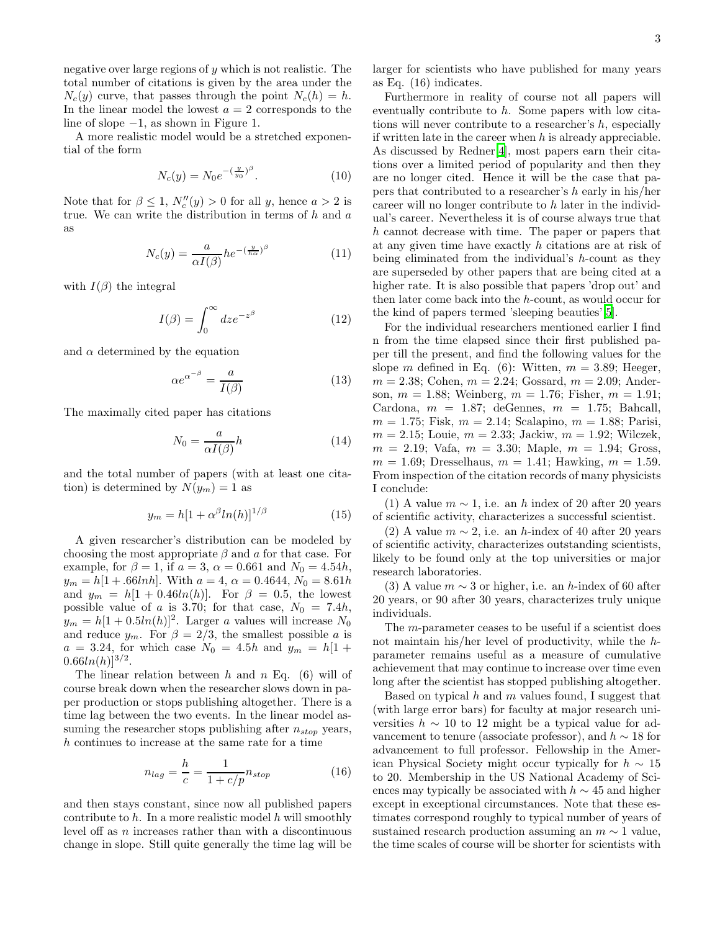negative over large regions of  $y$  which is not realistic. The total number of citations is given by the area under the  $N_c(y)$  curve, that passes through the point  $N_c(h) = h$ . In the linear model the lowest  $a = 2$  corresponds to the line of slope −1, as shown in Figure 1.

A more realistic model would be a stretched exponential of the form

$$
N_c(y) = N_0 e^{-(\frac{y}{y_0})^{\beta}}.
$$
 (10)

Note that for  $\beta \leq 1$ ,  $N''_c(y) > 0$  for all y, hence  $a > 2$  is true. We can write the distribution in terms of  $h$  and  $a$ as

$$
N_c(y) = \frac{a}{\alpha I(\beta)} h e^{-(\frac{y}{h\alpha})^{\beta}}
$$
\n(11)

with  $I(\beta)$  the integral

$$
I(\beta) = \int_0^\infty dz e^{-z^{\beta}} \tag{12}
$$

and  $\alpha$  determined by the equation

$$
\alpha e^{\alpha^{-\beta}} = \frac{a}{I(\beta)}\tag{13}
$$

The maximally cited paper has citations

$$
N_0 = \frac{a}{\alpha I(\beta)} h \tag{14}
$$

and the total number of papers (with at least one citation) is determined by  $N(y_m) = 1$  as

$$
y_m = h[1 + \alpha^\beta \ln(h)]^{1/\beta} \tag{15}
$$

A given researcher's distribution can be modeled by choosing the most appropriate  $\beta$  and a for that case. For example, for  $\beta = 1$ , if  $a = 3$ ,  $\alpha = 0.661$  and  $N_0 = 4.54h$ ,  $y_m = h[1 + .66lnh]$ . With  $a = 4$ ,  $\alpha = 0.4644$ ,  $N_0 = 8.61h$ and  $y_m = h[1 + 0.46ln(h)].$  For  $\beta = 0.5$ , the lowest possible value of a is 3.70; for that case,  $N_0 = 7.4h$ ,  $y_m = h[1 + 0.5ln(h)]^2$ . Larger a values will increase  $N_0$ and reduce  $y_m$ . For  $\beta = 2/3$ , the smallest possible a is  $a = 3.24$ , for which case  $N_0 = 4.5h$  and  $y_m = h[1 +$  $0.66ln(h)]^{3/2}.$ 

The linear relation between h and n Eq.  $(6)$  will of course break down when the researcher slows down in paper production or stops publishing altogether. There is a time lag between the two events. In the linear model assuming the researcher stops publishing after  $n_{stop}$  years, h continues to increase at the same rate for a time

$$
n_{lag} = \frac{h}{c} = \frac{1}{1 + c/p} n_{stop} \tag{16}
$$

and then stays constant, since now all published papers contribute to  $h$ . In a more realistic model  $h$  will smoothly level off as n increases rather than with a discontinuous change in slope. Still quite generally the time lag will be larger for scientists who have published for many years as Eq. (16) indicates.

Furthermore in reality of course not all papers will eventually contribute to h. Some papers with low citations will never contribute to a researcher's  $h$ , especially if written late in the career when  $h$  is already appreciable. As discussed by Redner[\[4](#page-4-3)], most papers earn their citations over a limited period of popularity and then they are no longer cited. Hence it will be the case that papers that contributed to a researcher's  $h$  early in his/her career will no longer contribute to h later in the individual's career. Nevertheless it is of course always true that h cannot decrease with time. The paper or papers that at any given time have exactly h citations are at risk of being eliminated from the individual's h-count as they are superseded by other papers that are being cited at a higher rate. It is also possible that papers 'drop out' and then later come back into the h-count, as would occur for the kind of papers termed 'sleeping beauties'[\[5](#page-4-4)].

For the individual researchers mentioned earlier I find n from the time elapsed since their first published paper till the present, and find the following values for the slope m defined in Eq. (6): Witten,  $m = 3.89$ ; Heeger,  $m = 2.38$ ; Cohen,  $m = 2.24$ ; Gossard,  $m = 2.09$ ; Anderson,  $m = 1.88$ ; Weinberg,  $m = 1.76$ ; Fisher,  $m = 1.91$ ; Cardona,  $m = 1.87$ ; deGennes,  $m = 1.75$ ; Bahcall,  $m = 1.75$ ; Fisk,  $m = 2.14$ ; Scalapino,  $m = 1.88$ ; Parisi,  $m = 2.15$ ; Louie,  $m = 2.33$ ; Jackiw,  $m = 1.92$ ; Wilczek,  $m = 2.19$ ; Vafa,  $m = 3.30$ ; Maple,  $m = 1.94$ ; Gross,  $m = 1.69$ ; Dresselhaus,  $m = 1.41$ ; Hawking,  $m = 1.59$ . From inspection of the citation records of many physicists I conclude:

(1) A value  $m \sim 1$ , i.e. an h index of 20 after 20 years of scientific activity, characterizes a successful scientist.

(2) A value  $m \sim 2$ , i.e. an h-index of 40 after 20 years of scientific activity, characterizes outstanding scientists, likely to be found only at the top universities or major research laboratories.

(3) A value  $m \sim 3$  or higher, i.e. an h-index of 60 after 20 years, or 90 after 30 years, characterizes truly unique individuals.

The m-parameter ceases to be useful if a scientist does not maintain his/her level of productivity, while the hparameter remains useful as a measure of cumulative achievement that may continue to increase over time even long after the scientist has stopped publishing altogether.

Based on typical  $h$  and  $m$  values found, I suggest that (with large error bars) for faculty at major research universities  $h \sim 10$  to 12 might be a typical value for advancement to tenure (associate professor), and  $h \sim 18$  for advancement to full professor. Fellowship in the American Physical Society might occur typically for  $h \sim 15$ to 20. Membership in the US National Academy of Sciences may typically be associated with  $h \sim 45$  and higher except in exceptional circumstances. Note that these estimates correspond roughly to typical number of years of sustained research production assuming an  $m \sim 1$  value, the time scales of course will be shorter for scientists with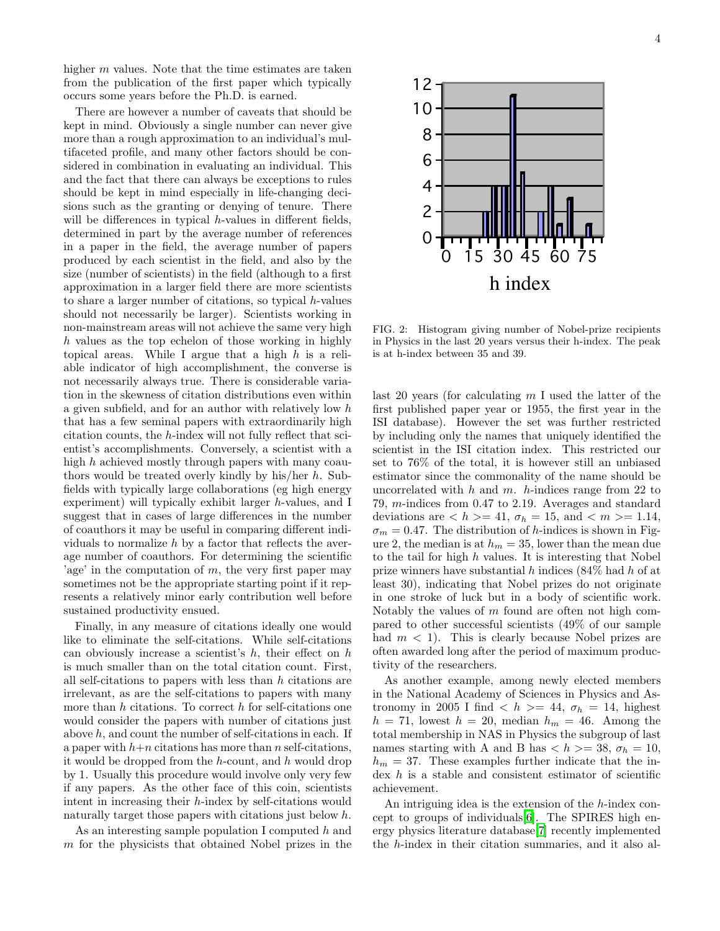higher  $m$  values. Note that the time estimates are taken from the publication of the first paper which typically occurs some years before the Ph.D. is earned.

There are however a number of caveats that should be kept in mind. Obviously a single number can never give more than a rough approximation to an individual's multifaceted profile, and many other factors should be considered in combination in evaluating an individual. This and the fact that there can always be exceptions to rules should be kept in mind especially in life-changing decisions such as the granting or denying of tenure. There will be differences in typical h-values in different fields, determined in part by the average number of references in a paper in the field, the average number of papers produced by each scientist in the field, and also by the size (number of scientists) in the field (although to a first approximation in a larger field there are more scientists to share a larger number of citations, so typical  $h$ -values should not necessarily be larger). Scientists working in non-mainstream areas will not achieve the same very high h values as the top echelon of those working in highly topical areas. While I argue that a high  $h$  is a reliable indicator of high accomplishment, the converse is not necessarily always true. There is considerable variation in the skewness of citation distributions even within a given subfield, and for an author with relatively low h that has a few seminal papers with extraordinarily high citation counts, the h-index will not fully reflect that scientist's accomplishments. Conversely, a scientist with a high h achieved mostly through papers with many coauthors would be treated overly kindly by his/her h. Subfields with typically large collaborations (eg high energy experiment) will typically exhibit larger h-values, and I suggest that in cases of large differences in the number of coauthors it may be useful in comparing different individuals to normalize  $h$  by a factor that reflects the average number of coauthors. For determining the scientific 'age' in the computation of  $m$ , the very first paper may sometimes not be the appropriate starting point if it represents a relatively minor early contribution well before sustained productivity ensued.

Finally, in any measure of citations ideally one would like to eliminate the self-citations. While self-citations can obviously increase a scientist's  $h$ , their effect on  $h$ is much smaller than on the total citation count. First, all self-citations to papers with less than h citations are irrelevant, as are the self-citations to papers with many more than  $h$  citations. To correct  $h$  for self-citations one would consider the papers with number of citations just above  $h$ , and count the number of self-citations in each. If a paper with  $h+n$  citations has more than n self-citations, it would be dropped from the  $h$ -count, and  $h$  would drop by 1. Usually this procedure would involve only very few if any papers. As the other face of this coin, scientists intent in increasing their h-index by self-citations would naturally target those papers with citations just below h.

As an interesting sample population I computed  $h$  and m for the physicists that obtained Nobel prizes in the



FIG. 2: Histogram giving number of Nobel-prize recipients in Physics in the last 20 years versus their h-index. The peak is at h-index between 35 and 39.

last 20 years (for calculating  $m<sub>1</sub>$  used the latter of the first published paper year or 1955, the first year in the ISI database). However the set was further restricted by including only the names that uniquely identified the scientist in the ISI citation index. This restricted our set to 76% of the total, it is however still an unbiased estimator since the commonality of the name should be uncorrelated with  $h$  and  $m$ .  $h$ -indices range from 22 to 79, m-indices from 0.47 to 2.19. Averages and standard deviations are  $\langle h \rangle = 41$ ,  $\sigma_h = 15$ , and  $\langle m \rangle = 1.14$ ,  $\sigma_m = 0.47$ . The distribution of h-indices is shown in Figure 2, the median is at  $h_m = 35$ , lower than the mean due to the tail for high  $h$  values. It is interesting that Nobel prize winners have substantial h indices (84% had h of at least 30), indicating that Nobel prizes do not originate in one stroke of luck but in a body of scientific work. Notably the values of m found are often not high compared to other successful scientists (49% of our sample had  $m < 1$ ). This is clearly because Nobel prizes are often awarded long after the period of maximum productivity of the researchers.

As another example, among newly elected members in the National Academy of Sciences in Physics and Astronomy in 2005 I find  $\langle h \rangle = 44$ ,  $\sigma_h = 14$ , highest  $h = 71$ , lowest  $h = 20$ , median  $h_m = 46$ . Among the total membership in NAS in Physics the subgroup of last names starting with A and B has  $\langle h \rangle = 38, \sigma_h = 10$ ,  $h_m = 37$ . These examples further indicate that the index  $h$  is a stable and consistent estimator of scientific achievement.

An intriguing idea is the extension of the h-index concept to groups of individuals[\[6\]](#page-4-5). The SPIRES high energy physics literature database[\[7\]](#page-4-6) recently implemented the h-index in their citation summaries, and it also al